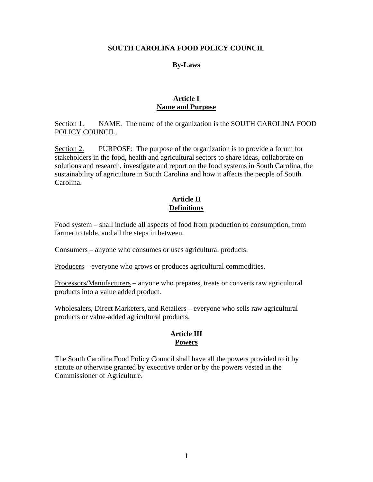### **SOUTH CAROLINA FOOD POLICY COUNCIL**

#### **By-Laws**

### **Article I Name and Purpose**

Section 1. NAME. The name of the organization is the SOUTH CAROLINA FOOD POLICY COUNCIL.

Section 2. PURPOSE: The purpose of the organization is to provide a forum for stakeholders in the food, health and agricultural sectors to share ideas, collaborate on solutions and research, investigate and report on the food systems in South Carolina, the sustainability of agriculture in South Carolina and how it affects the people of South Carolina.

### **Article II Definitions**

Food system – shall include all aspects of food from production to consumption, from farmer to table, and all the steps in between.

Consumers – anyone who consumes or uses agricultural products.

Producers – everyone who grows or produces agricultural commodities.

Processors/Manufacturers – anyone who prepares, treats or converts raw agricultural products into a value added product.

Wholesalers, Direct Marketers, and Retailers – everyone who sells raw agricultural products or value-added agricultural products.

# **Article III Powers**

The South Carolina Food Policy Council shall have all the powers provided to it by statute or otherwise granted by executive order or by the powers vested in the Commissioner of Agriculture.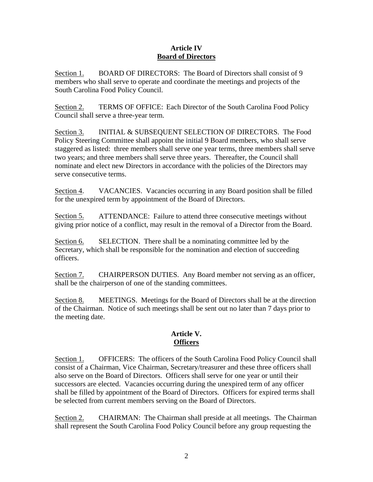### **Article IV Board of Directors**

Section 1. BOARD OF DIRECTORS: The Board of Directors shall consist of 9 members who shall serve to operate and coordinate the meetings and projects of the South Carolina Food Policy Council.

Section 2. TERMS OF OFFICE: Each Director of the South Carolina Food Policy Council shall serve a three-year term.

Section 3. INITIAL & SUBSEQUENT SELECTION OF DIRECTORS. The Food Policy Steering Committee shall appoint the initial 9 Board members, who shall serve staggered as listed: three members shall serve one year terms, three members shall serve two years; and three members shall serve three years. Thereafter, the Council shall nominate and elect new Directors in accordance with the policies of the Directors may serve consecutive terms.

Section 4. VACANCIES. Vacancies occurring in any Board position shall be filled for the unexpired term by appointment of the Board of Directors.

Section 5. ATTENDANCE: Failure to attend three consecutive meetings without giving prior notice of a conflict, may result in the removal of a Director from the Board.

Section 6. SELECTION. There shall be a nominating committee led by the Secretary, which shall be responsible for the nomination and election of succeeding officers.

Section 7. CHAIRPERSON DUTIES. Any Board member not serving as an officer, shall be the chairperson of one of the standing committees.

Section 8. MEETINGS. Meetings for the Board of Directors shall be at the direction of the Chairman. Notice of such meetings shall be sent out no later than 7 days prior to the meeting date.

# **Article V. Officers**

Section 1. OFFICERS: The officers of the South Carolina Food Policy Council shall consist of a Chairman, Vice Chairman, Secretary/treasurer and these three officers shall also serve on the Board of Directors. Officers shall serve for one year or until their successors are elected. Vacancies occurring during the unexpired term of any officer shall be filled by appointment of the Board of Directors. Officers for expired terms shall be selected from current members serving on the Board of Directors.

Section 2. CHAIRMAN: The Chairman shall preside at all meetings. The Chairman shall represent the South Carolina Food Policy Council before any group requesting the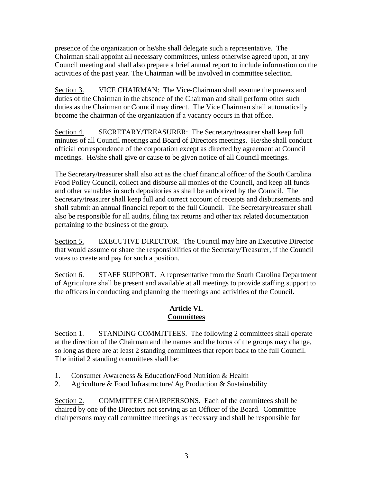presence of the organization or he/she shall delegate such a representative. The Chairman shall appoint all necessary committees, unless otherwise agreed upon, at any Council meeting and shall also prepare a brief annual report to include information on the activities of the past year. The Chairman will be involved in committee selection.

Section 3. VICE CHAIRMAN: The Vice-Chairman shall assume the powers and duties of the Chairman in the absence of the Chairman and shall perform other such duties as the Chairman or Council may direct. The Vice Chairman shall automatically become the chairman of the organization if a vacancy occurs in that office.

Section 4. SECRETARY/TREASURER: The Secretary/treasurer shall keep full minutes of all Council meetings and Board of Directors meetings. He/she shall conduct official correspondence of the corporation except as directed by agreement at Council meetings. He/she shall give or cause to be given notice of all Council meetings.

The Secretary/treasurer shall also act as the chief financial officer of the South Carolina Food Policy Council, collect and disburse all monies of the Council, and keep all funds and other valuables in such depositories as shall be authorized by the Council. The Secretary/treasurer shall keep full and correct account of receipts and disbursements and shall submit an annual financial report to the full Council. The Secretary/treasurer shall also be responsible for all audits, filing tax returns and other tax related documentation pertaining to the business of the group.

Section 5. EXECUTIVE DIRECTOR. The Council may hire an Executive Director that would assume or share the responsibilities of the Secretary/Treasurer, if the Council votes to create and pay for such a position.

Section 6. STAFF SUPPORT. A representative from the South Carolina Department of Agriculture shall be present and available at all meetings to provide staffing support to the officers in conducting and planning the meetings and activities of the Council.

# **Article VI. Committees**

Section 1. STANDING COMMITTEES. The following 2 committees shall operate at the direction of the Chairman and the names and the focus of the groups may change, so long as there are at least 2 standing committees that report back to the full Council. The initial 2 standing committees shall be:

- 1. Consumer Awareness & Education/Food Nutrition & Health
- 2. Agriculture & Food Infrastructure/ Ag Production & Sustainability

Section 2. COMMITTEE CHAIRPERSONS. Each of the committees shall be chaired by one of the Directors not serving as an Officer of the Board. Committee chairpersons may call committee meetings as necessary and shall be responsible for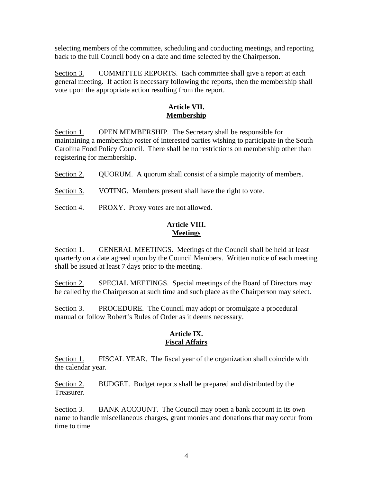selecting members of the committee, scheduling and conducting meetings, and reporting back to the full Council body on a date and time selected by the Chairperson.

Section 3. COMMITTEE REPORTS. Each committee shall give a report at each general meeting. If action is necessary following the reports, then the membership shall vote upon the appropriate action resulting from the report.

## **Article VII. Membership**

Section 1. OPEN MEMBERSHIP. The Secretary shall be responsible for maintaining a membership roster of interested parties wishing to participate in the South Carolina Food Policy Council. There shall be no restrictions on membership other than registering for membership.

Section 2. QUORUM. A quorum shall consist of a simple majority of members.

Section 3. VOTING. Members present shall have the right to vote.

Section 4. PROXY. Proxy votes are not allowed.

## **Article VIII. Meetings**

Section 1. GENERAL MEETINGS. Meetings of the Council shall be held at least quarterly on a date agreed upon by the Council Members. Written notice of each meeting shall be issued at least 7 days prior to the meeting.

Section 2. SPECIAL MEETINGS. Special meetings of the Board of Directors may be called by the Chairperson at such time and such place as the Chairperson may select.

Section 3. PROCEDURE. The Council may adopt or promulgate a procedural manual or follow Robert's Rules of Order as it deems necessary.

### **Article IX. Fiscal Affairs**

Section 1. FISCAL YEAR. The fiscal year of the organization shall coincide with the calendar year.

Section 2. BUDGET. Budget reports shall be prepared and distributed by the Treasurer.

Section 3. BANK ACCOUNT. The Council may open a bank account in its own name to handle miscellaneous charges, grant monies and donations that may occur from time to time.